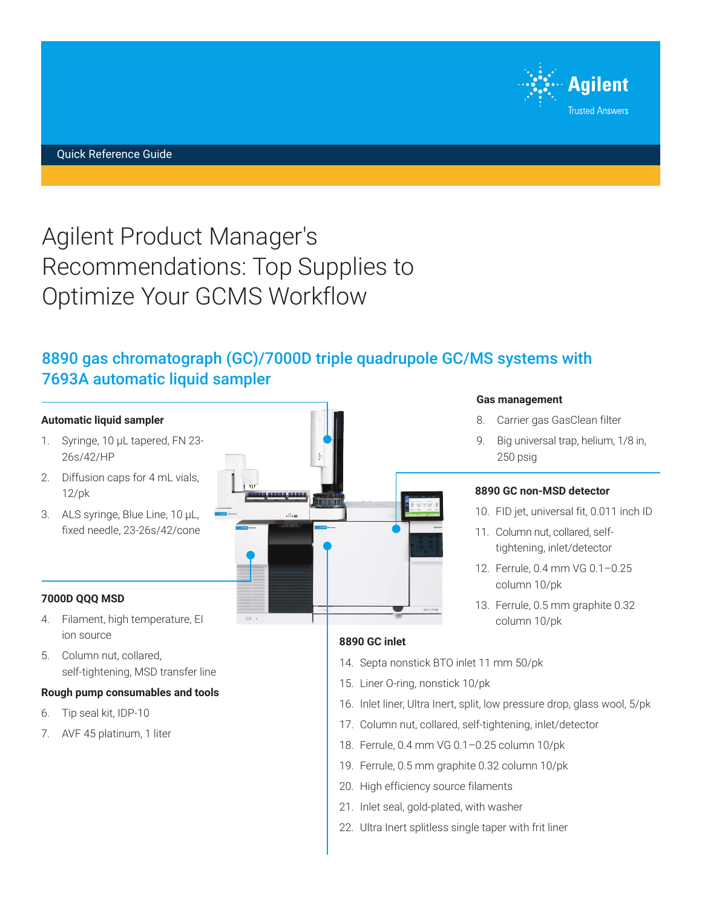

# Agilent Product Manager's Recommendations: Top Supplies to Optimize Your GCMS Workflow

# 8890 gas chromatograph (GC)/7000D triple quadrupole GC/MS systems with 7693A automatic liquid sampler

#### **Automatic liquid sampler**

- 1. Syringe, 10 μL tapered, FN 23- 26s/42/HP
- 2. Diffusion caps for 4 mL vials, 12/pk
- 3. ALS syringe, Blue Line, 10 μL, fixed needle, 23-26s/42/cone

#### **7000D QQQ MSD**

- 4. Filament, high temperature, EI ion source
- 5. Column nut, collared, self-tightening, MSD transfer line

#### **Rough pump consumables and tools**

- 6. Tip seal kit, IDP-10
- 7. AVF 45 platinum, 1 liter



## **Gas management**

- 8. Carrier gas GasClean filter
- 9. Big universal trap, helium, 1/8 in, 250 psig

#### **8890 GC non-MSD detector**

- 10. FID jet, universal fit, 0.011 inch ID
- 11. Column nut, collared, selftightening, inlet/detector
- 12. Ferrule, 0.4 mm VG 0.1–0.25 column 10/pk
- 13. Ferrule, 0.5 mm graphite 0.32 column 10/pk

#### **8890 GC inlet**

- 14. Septa nonstick BTO inlet 11 mm 50/pk
- 15. Liner O-ring, nonstick 10/pk
- 16. Inlet liner, Ultra Inert, split, low pressure drop, glass wool, 5/pk
- 17. Column nut, collared, self-tightening, inlet/detector
- 18. Ferrule, 0.4 mm VG 0.1–0.25 column 10/pk
- 19. Ferrule, 0.5 mm graphite 0.32 column 10/pk
- 20. High efficiency source filaments
- 21. Inlet seal, gold-plated, with washer
- 22. Ultra Inert splitless single taper with frit liner